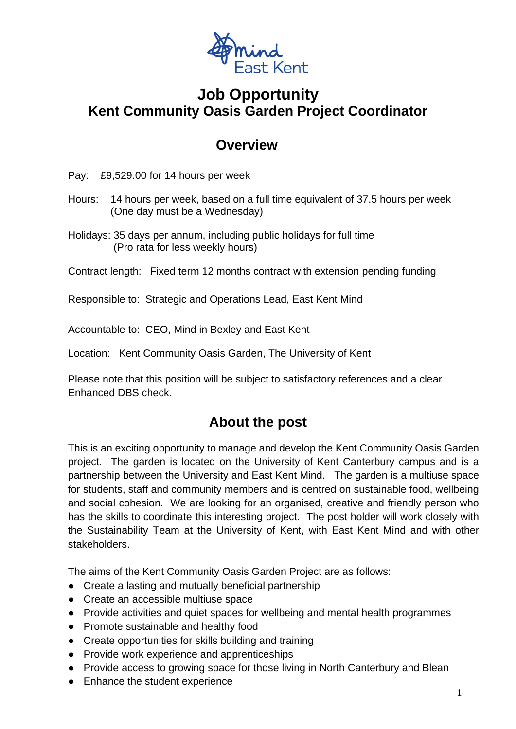

### **Job Opportunity Kent Community Oasis Garden Project Coordinator**

#### **Overview**

Pay: £9,529.00 for 14 hours per week

- Hours: 14 hours per week, based on a full time equivalent of 37.5 hours per week (One day must be a Wednesday)
- Holidays: 35 days per annum, including public holidays for full time (Pro rata for less weekly hours)

Contract length: Fixed term 12 months contract with extension pending funding

Responsible to: Strategic and Operations Lead, East Kent Mind

Accountable to: CEO, Mind in Bexley and East Kent

Location: Kent Community Oasis Garden, The University of Kent

Please note that this position will be subject to satisfactory references and a clear Enhanced DBS check.

#### **About the post**

This is an exciting opportunity to manage and develop the Kent Community Oasis Garden project. The garden is located on the University of Kent Canterbury campus and is a partnership between the University and East Kent Mind. The garden is a multiuse space for students, staff and community members and is centred on sustainable food, wellbeing and social cohesion. We are looking for an organised, creative and friendly person who has the skills to coordinate this interesting project. The post holder will work closely with the Sustainability Team at the University of Kent, with East Kent Mind and with other stakeholders.

The aims of the Kent Community Oasis Garden Project are as follows:

- Create a lasting and mutually beneficial partnership
- Create an accessible multiuse space
- Provide activities and quiet spaces for wellbeing and mental health programmes
- Promote sustainable and healthy food
- Create opportunities for skills building and training
- Provide work experience and apprenticeships
- Provide access to growing space for those living in North Canterbury and Blean
- Enhance the student experience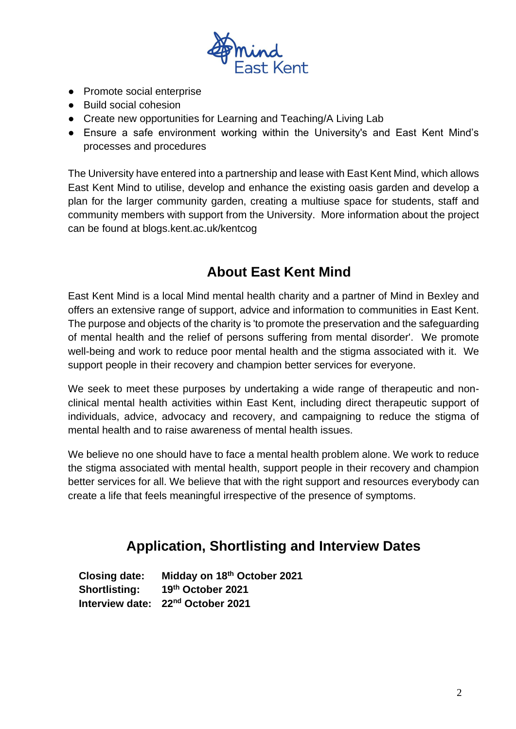

- Promote social enterprise
- Build social cohesion
- Create new opportunities for Learning and Teaching/A Living Lab
- Ensure a safe environment working within the University's and East Kent Mind's processes and procedures

The University have entered into a partnership and lease with East Kent Mind, which allows East Kent Mind to utilise, develop and enhance the existing oasis garden and develop a plan for the larger community garden, creating a multiuse space for students, staff and community members with support from the University. More information about the project can be found at blogs.kent.ac.uk/kentcog

### **About East Kent Mind**

East Kent Mind is a local Mind mental health charity and a partner of Mind in Bexley and offers an extensive range of support, advice and information to communities in East Kent. The purpose and objects of the charity is 'to promote the preservation and the safeguarding of mental health and the relief of persons suffering from mental disorder'. We promote well-being and work to reduce poor mental health and the stigma associated with it. We support people in their recovery and champion better services for everyone.

We seek to meet these purposes by undertaking a wide range of therapeutic and nonclinical mental health activities within East Kent, including direct therapeutic support of individuals, advice, advocacy and recovery, and campaigning to reduce the stigma of mental health and to raise awareness of mental health issues.

We believe no one should have to face a mental health problem alone. We work to reduce the stigma associated with mental health, support people in their recovery and champion better services for all. We believe that with the right support and resources everybody can create a life that feels meaningful irrespective of the presence of symptoms.

### **Application, Shortlisting and Interview Dates**

**Closing date: Midday on 18th October 2021 Shortlisting: th October 2021 Interview date: 22nd October 2021**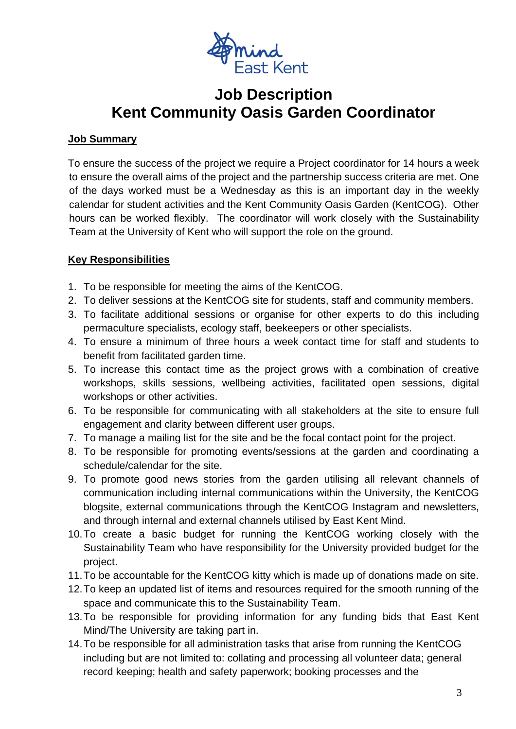

## **Job Description Kent Community Oasis Garden Coordinator**

#### **Job Summary**

To ensure the success of the project we require a Project coordinator for 14 hours a week to ensure the overall aims of the project and the partnership success criteria are met. One of the days worked must be a Wednesday as this is an important day in the weekly calendar for student activities and the Kent Community Oasis Garden (KentCOG). Other hours can be worked flexibly. The coordinator will work closely with the Sustainability Team at the University of Kent who will support the role on the ground.

#### **Key Responsibilities**

- 1. To be responsible for meeting the aims of the KentCOG.
- 2. To deliver sessions at the KentCOG site for students, staff and community members.
- 3. To facilitate additional sessions or organise for other experts to do this including permaculture specialists, ecology staff, beekeepers or other specialists.
- 4. To ensure a minimum of three hours a week contact time for staff and students to benefit from facilitated garden time.
- 5. To increase this contact time as the project grows with a combination of creative workshops, skills sessions, wellbeing activities, facilitated open sessions, digital workshops or other activities.
- 6. To be responsible for communicating with all stakeholders at the site to ensure full engagement and clarity between different user groups.
- 7. To manage a mailing list for the site and be the focal contact point for the project.
- 8. To be responsible for promoting events/sessions at the garden and coordinating a schedule/calendar for the site.
- 9. To promote good news stories from the garden utilising all relevant channels of communication including internal communications within the University, the KentCOG blogsite, external communications through the KentCOG Instagram and newsletters, and through internal and external channels utilised by East Kent Mind.
- 10.To create a basic budget for running the KentCOG working closely with the Sustainability Team who have responsibility for the University provided budget for the project.
- 11.To be accountable for the KentCOG kitty which is made up of donations made on site.
- 12.To keep an updated list of items and resources required for the smooth running of the space and communicate this to the Sustainability Team.
- 13.To be responsible for providing information for any funding bids that East Kent Mind/The University are taking part in.
- 14.To be responsible for all administration tasks that arise from running the KentCOG including but are not limited to: collating and processing all volunteer data; general record keeping; health and safety paperwork; booking processes and the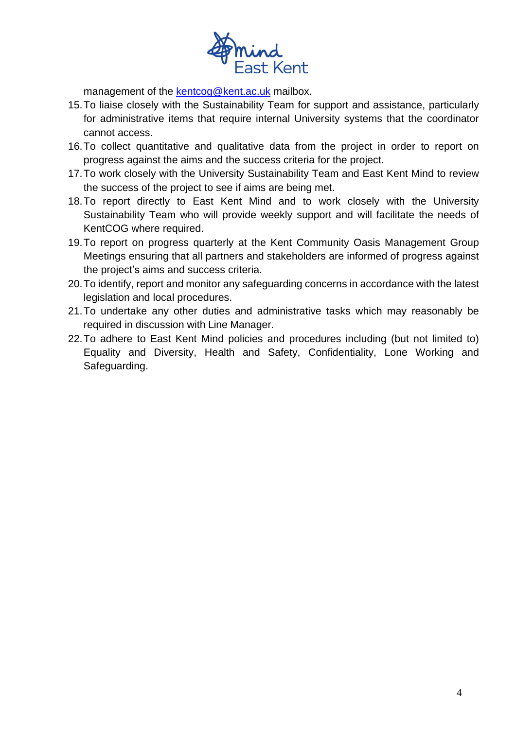

management of the [kentcog@kent.ac.uk](mailto:kentcog@kent.ac.uk) mailbox.

- 15.To liaise closely with the Sustainability Team for support and assistance, particularly for administrative items that require internal University systems that the coordinator cannot access.
- 16.To collect quantitative and qualitative data from the project in order to report on progress against the aims and the success criteria for the project.
- 17.To work closely with the University Sustainability Team and East Kent Mind to review the success of the project to see if aims are being met.
- 18.To report directly to East Kent Mind and to work closely with the University Sustainability Team who will provide weekly support and will facilitate the needs of KentCOG where required.
- 19.To report on progress quarterly at the Kent Community Oasis Management Group Meetings ensuring that all partners and stakeholders are informed of progress against the project's aims and success criteria.
- 20.To identify, report and monitor any safeguarding concerns in accordance with the latest legislation and local procedures.
- 21.To undertake any other duties and administrative tasks which may reasonably be required in discussion with Line Manager.
- 22.To adhere to East Kent Mind policies and procedures including (but not limited to) Equality and Diversity, Health and Safety, Confidentiality, Lone Working and Safeguarding.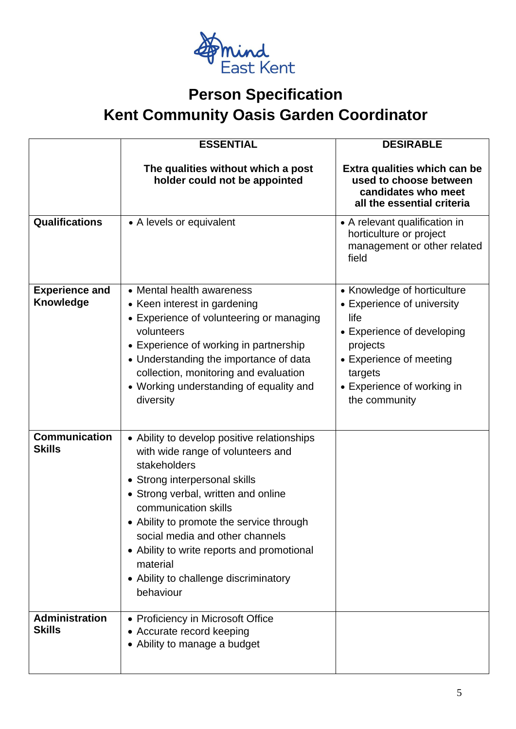

# **Person Specification Kent Community Oasis Garden Coordinator**

|                                           | <b>ESSENTIAL</b>                                                                                                                                                                                                                                                                                                                                                                                | <b>DESIRABLE</b>                                                                                                                                                                                 |
|-------------------------------------------|-------------------------------------------------------------------------------------------------------------------------------------------------------------------------------------------------------------------------------------------------------------------------------------------------------------------------------------------------------------------------------------------------|--------------------------------------------------------------------------------------------------------------------------------------------------------------------------------------------------|
|                                           | The qualities without which a post<br>holder could not be appointed                                                                                                                                                                                                                                                                                                                             | Extra qualities which can be<br>used to choose between<br>candidates who meet<br>all the essential criteria                                                                                      |
| <b>Qualifications</b>                     | • A levels or equivalent                                                                                                                                                                                                                                                                                                                                                                        | • A relevant qualification in<br>horticulture or project<br>management or other related<br>field                                                                                                 |
| <b>Experience and</b><br><b>Knowledge</b> | • Mental health awareness<br>• Keen interest in gardening<br>• Experience of volunteering or managing<br>volunteers<br>• Experience of working in partnership<br>• Understanding the importance of data<br>collection, monitoring and evaluation<br>• Working understanding of equality and<br>diversity                                                                                        | • Knowledge of horticulture<br>• Experience of university<br>life<br>• Experience of developing<br>projects<br>• Experience of meeting<br>targets<br>• Experience of working in<br>the community |
| <b>Communication</b><br><b>Skills</b>     | • Ability to develop positive relationships<br>with wide range of volunteers and<br>stakeholders<br>• Strong interpersonal skills<br>• Strong verbal, written and online<br>communication skills<br>• Ability to promote the service through<br>social media and other channels<br>• Ability to write reports and promotional<br>material<br>• Ability to challenge discriminatory<br>behaviour |                                                                                                                                                                                                  |
| <b>Administration</b><br><b>Skills</b>    | • Proficiency in Microsoft Office<br>• Accurate record keeping<br>• Ability to manage a budget                                                                                                                                                                                                                                                                                                  |                                                                                                                                                                                                  |